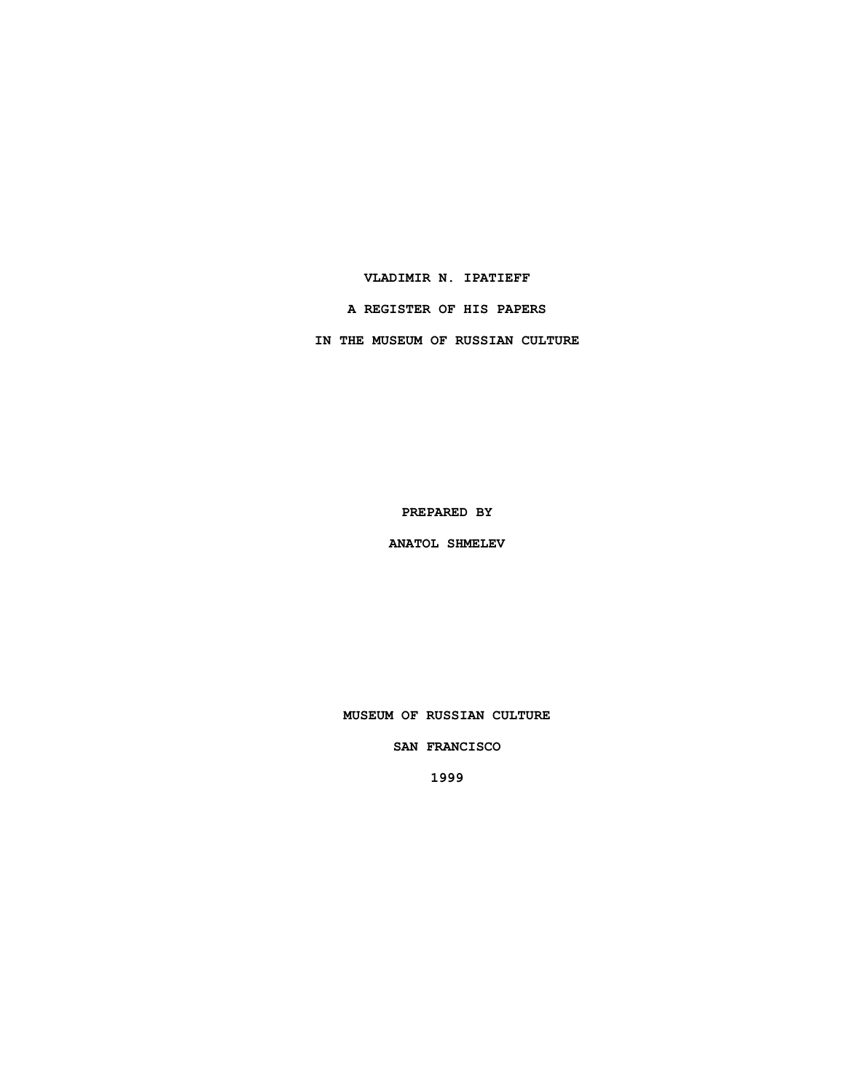### **VLADIMIR N. IPATIEFF**

# **A REGISTER OF HIS PAPERS**

**IN THE MUSEUM OF RUSSIAN CULTURE**

**PREPARED BY**

**ANATOL SHMELEV**

**MUSEUM OF RUSSIAN CULTURE**

#### **SAN FRANCISCO**

**1999**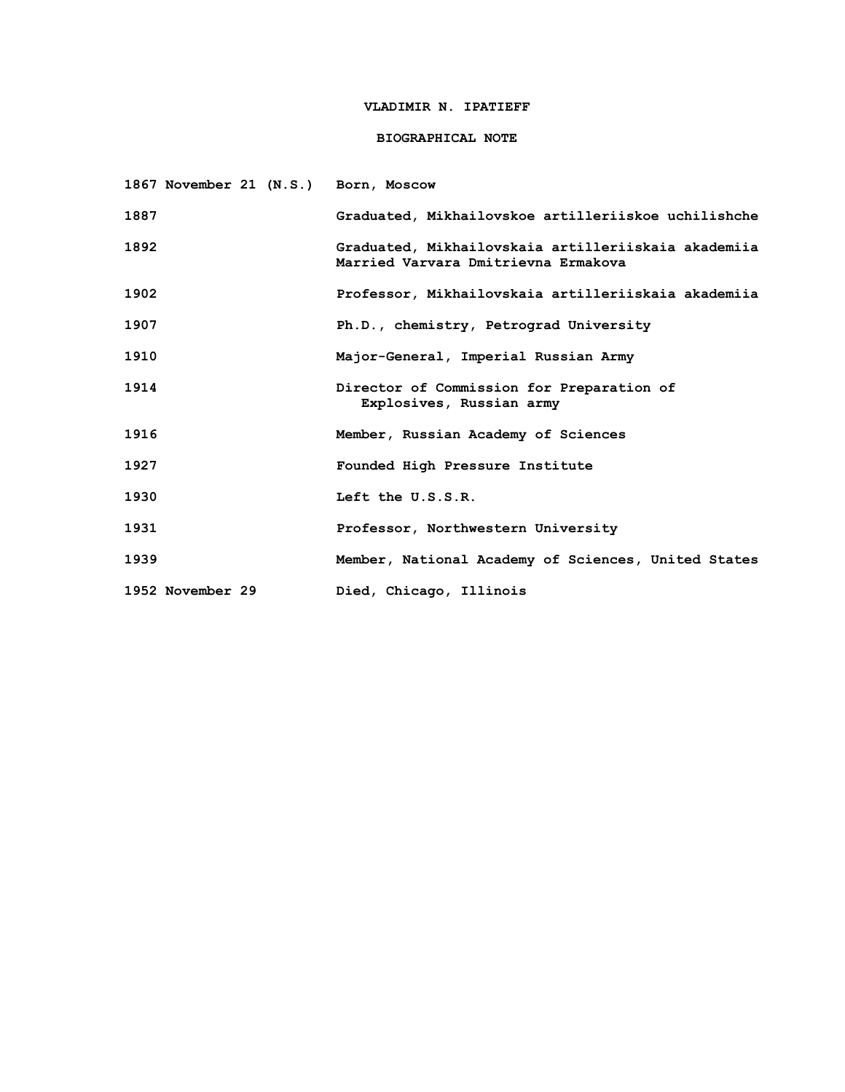### **VLADIMIR N. IPATIEFF**

### **BIOGRAPHICAL NOTE**

| 1867 November 21 (N.S.) Born, Moscow |                                                                                            |
|--------------------------------------|--------------------------------------------------------------------------------------------|
| 1887                                 | Graduated, Mikhailovskoe artilleriiskoe uchilishche                                        |
| 1892                                 | Graduated, Mikhailovskaia artilleriiskaia akademiia<br>Married Varvara Dmitrievna Ermakova |
| 1902                                 | Professor, Mikhailovskaia artilleriiskaia akademiia                                        |
| 1907                                 | Ph.D., chemistry, Petrograd University                                                     |
| 1910                                 | Major-General, Imperial Russian Army                                                       |
| 1914                                 | Director of Commission for Preparation of<br>Explosives, Russian army                      |
| 1916                                 | Member, Russian Academy of Sciences                                                        |
| 1927                                 | Founded High Pressure Institute                                                            |
| 1930                                 | Left the U.S.S.R.                                                                          |
| 1931                                 | Professor, Northwestern University                                                         |
| 1939                                 | Member, National Academy of Sciences, United States                                        |
| 1952 November 29                     | Died, Chicago, Illinois                                                                    |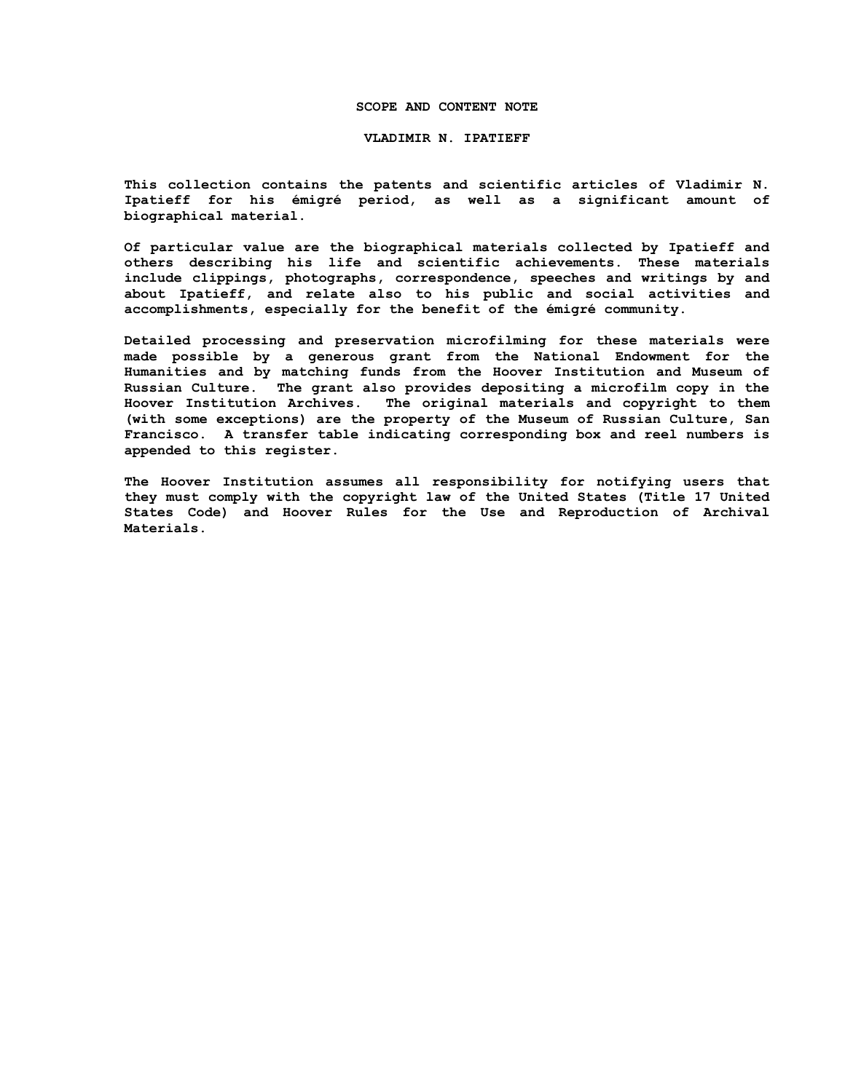#### **SCOPE AND CONTENT NOTE**

**VLADIMIR N. IPATIEFF**

**This collection contains the patents and scientific articles of Vladimir N. Ipatieff for his émigré period, as well as a significant amount of biographical material.**

**Of particular value are the biographical materials collected by Ipatieff and others describing his life and scientific achievements. These materials include clippings, photographs, correspondence, speeches and writings by and about Ipatieff, and relate also to his public and social activities and accomplishments, especially for the benefit of the émigré community.**

**Detailed processing and preservation microfilming for these materials were made possible by a generous grant from the National Endowment for the Humanities and by matching funds from the Hoover Institution and Museum of Russian Culture. The grant also provides depositing a microfilm copy in the Hoover Institution Archives. The original materials and copyright to them (with some exceptions) are the property of the Museum of Russian Culture, San Francisco. A transfer table indicating corresponding box and reel numbers is appended to this register.**

**The Hoover Institution assumes all responsibility for notifying users that they must comply with the copyright law of the United States (Title 17 United States Code) and Hoover Rules for the Use and Reproduction of Archival Materials.**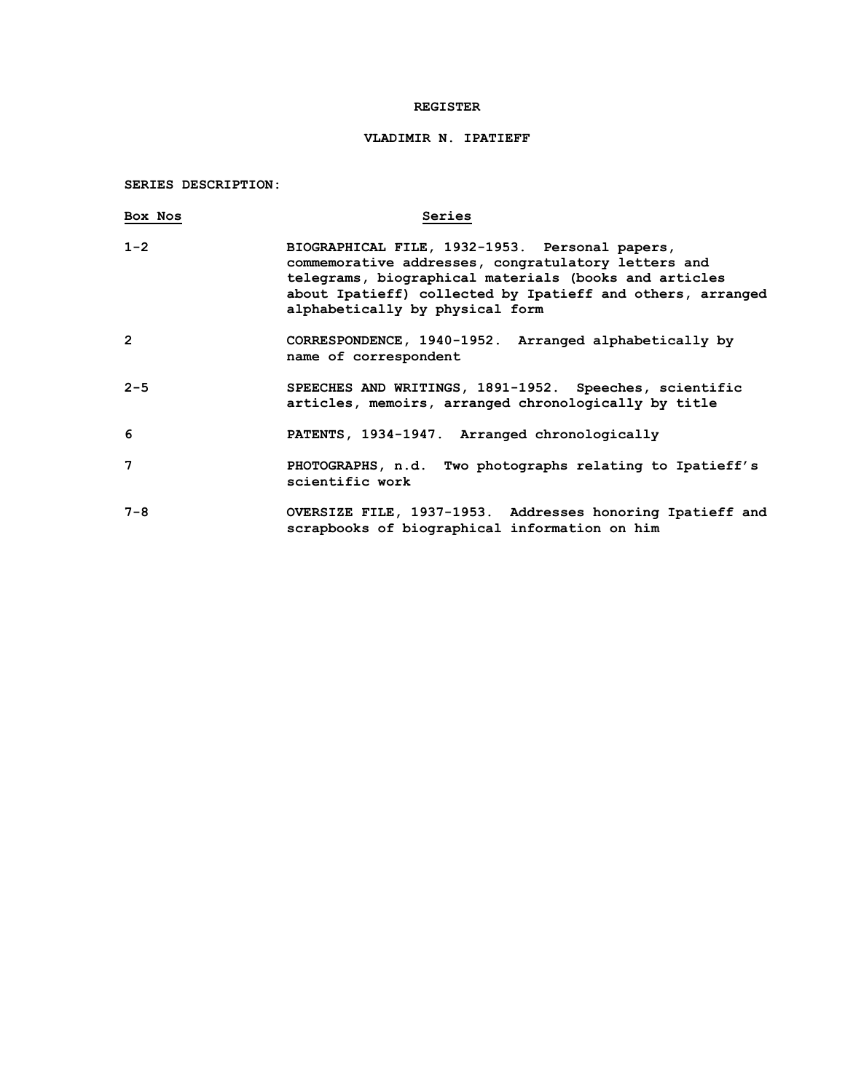### **REGISTER**

## **VLADIMIR N. IPATIEFF**

**SERIES DESCRIPTION:**

| Box Nos        | Series                                                                                                                                                                                                                                                          |
|----------------|-----------------------------------------------------------------------------------------------------------------------------------------------------------------------------------------------------------------------------------------------------------------|
| $1 - 2$        | BIOGRAPHICAL FILE, 1932-1953. Personal papers,<br>commemorative addresses, congratulatory letters and<br>telegrams, biographical materials (books and articles<br>about Ipatieff) collected by Ipatieff and others, arranged<br>alphabetically by physical form |
| $\overline{2}$ | CORRESPONDENCE, 1940-1952. Arranged alphabetically by<br>name of correspondent                                                                                                                                                                                  |
| $2 - 5$        | SPEECHES AND WRITINGS, 1891-1952. Speeches, scientific<br>articles, memoirs, arranged chronologically by title                                                                                                                                                  |
| 6              | PATENTS, 1934-1947. Arranged chronologically                                                                                                                                                                                                                    |
| 7              | PHOTOGRAPHS, n.d. Two photographs relating to Ipatieff's<br>scientific work                                                                                                                                                                                     |
| $7 - 8$        | OVERSIZE FILE, 1937-1953. Addresses honoring Ipatieff and<br>scrapbooks of biographical information on him                                                                                                                                                      |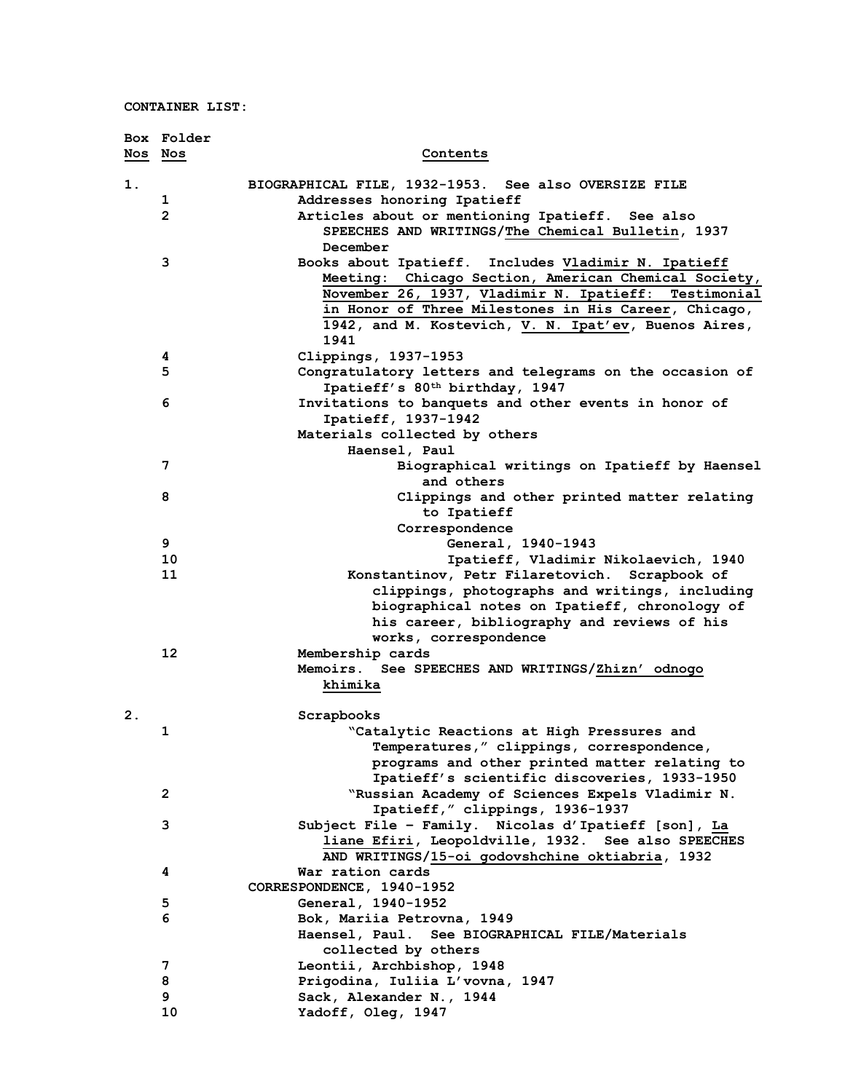|         | Box Folder     |                                                            |
|---------|----------------|------------------------------------------------------------|
| Nos Nos |                | Contents                                                   |
|         |                |                                                            |
| 1.      |                | BIOGRAPHICAL FILE, 1932-1953. See also OVERSIZE FILE       |
|         | 1              | Addresses honoring Ipatieff                                |
|         | $\overline{2}$ | Articles about or mentioning Ipatieff. See also            |
|         |                | SPEECHES AND WRITINGS/The Chemical Bulletin, 1937          |
|         |                | December                                                   |
|         | 3              | Books about Ipatieff. Includes Vladimir N. Ipatieff        |
|         |                | Meeting: Chicago Section, American Chemical Society,       |
|         |                | November 26, 1937, Vladimir N. Ipatieff: Testimonial       |
|         |                | in Honor of Three Milestones in His Career, Chicago,       |
|         |                | 1942, and M. Kostevich, V. N. Ipat'ev, Buenos Aires,       |
|         |                | 1941                                                       |
|         | 4              | Clippings, 1937-1953                                       |
|         | 5              | Congratulatory letters and telegrams on the occasion of    |
|         |                | Ipatieff's 80 <sup>th</sup> birthday, 1947                 |
|         | 6              | Invitations to banquets and other events in honor of       |
|         |                | Ipatieff, 1937-1942                                        |
|         |                | Materials collected by others                              |
|         |                | Haensel, Paul                                              |
|         | 7              | Biographical writings on Ipatieff by Haensel<br>and others |
|         | 8              | Clippings and other printed matter relating                |
|         |                | to Ipatieff                                                |
|         |                | Correspondence                                             |
|         | 9              | General, 1940-1943                                         |
|         | 10             | Ipatieff, Vladimir Nikolaevich, 1940                       |
|         | 11             | Konstantinov, Petr Filaretovich. Scrapbook of              |
|         |                | clippings, photographs and writings, including             |
|         |                | biographical notes on Ipatieff, chronology of              |
|         |                | his career, bibliography and reviews of his                |
|         |                | works, correspondence                                      |
|         | 12             | Membership cards                                           |
|         |                | Memoirs. See SPEECHES AND WRITINGS/Zhizn' odnogo           |
|         |                | khimika                                                    |
|         |                |                                                            |
| 2.      |                | Scrapbooks                                                 |
|         | 1              | "Catalytic Reactions at High Pressures and                 |
|         |                | Temperatures," clippings, correspondence,                  |
|         |                | programs and other printed matter relating to              |
|         |                | Ipatieff's scientific discoveries, 1933-1950               |
|         | $\mathbf{2}$   | "Russian Academy of Sciences Expels Vladimir N.            |
|         |                | Ipatieff," clippings, 1936-1937                            |
|         | 3              | Subject File - Family. Nicolas d'Ipatieff [son], La        |
|         |                | liane Efiri, Leopoldville, 1932. See also SPEECHES         |
|         |                | AND WRITINGS/15-oi godovshchine oktiabria, 1932            |
|         | 4              | War ration cards                                           |
|         |                | CORRESPONDENCE, 1940-1952                                  |
|         | 5              | General, 1940-1952                                         |
|         | 6              | Bok, Mariia Petrovna, 1949                                 |
|         |                | Haensel, Paul. See BIOGRAPHICAL FILE/Materials             |
|         |                | collected by others                                        |
|         | 7              | Leontii, Archbishop, 1948                                  |
|         | 8              | Prigodina, Iuliia L'vovna, 1947                            |
|         | 9              | Sack, Alexander N., 1944                                   |
|         | 10             | Yadoff, Oleg, 1947                                         |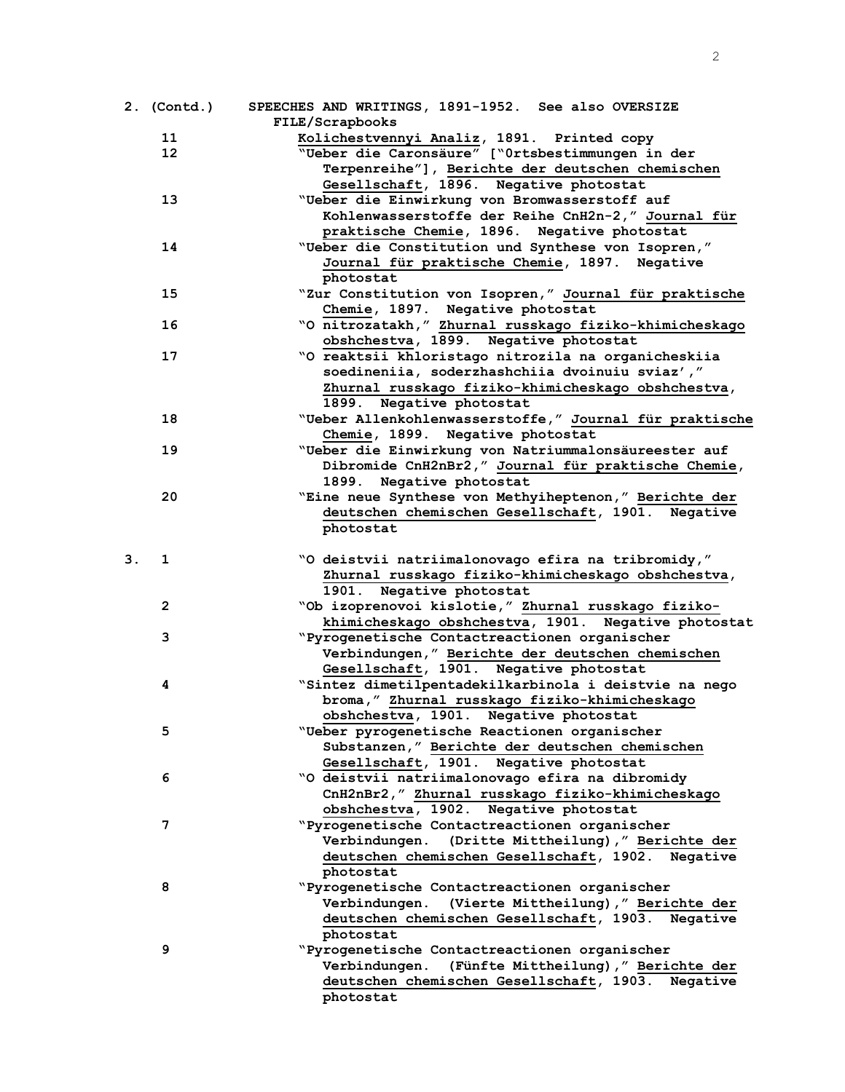|    | 2. (Contd.)  | SPEECHES AND WRITINGS, 1891-1952. See also OVERSIZE                                                         |
|----|--------------|-------------------------------------------------------------------------------------------------------------|
|    |              | FILE/Scrapbooks                                                                                             |
|    | 11           | Kolichestvennyi Analiz, 1891. Printed copy                                                                  |
|    | 12           | "Ueber die Caronsäure" ["Ortsbestimmungen in der                                                            |
|    |              | Terpenreihe"], Berichte der deutschen chemischen                                                            |
|    |              | Gesellschaft, 1896. Negative photostat                                                                      |
|    | 13           | "Ueber die Einwirkung von Bromwasserstoff auf                                                               |
|    |              | Kohlenwasserstoffe der Reihe CnH2n-2," Journal für                                                          |
|    |              | praktische Chemie, 1896. Negative photostat                                                                 |
|    | 14           | "Ueber die Constitution und Synthese von Isopren,"                                                          |
|    |              | Journal für praktische Chemie, 1897. Negative                                                               |
|    |              | photostat                                                                                                   |
|    | 15           | "Zur Constitution von Isopren," Journal für praktische                                                      |
|    |              | Chemie, 1897. Negative photostat                                                                            |
|    | 16           | "O nitrozatakh," Zhurnal russkago fiziko-khimicheskago                                                      |
|    |              | obshchestva, 1899. Negative photostat                                                                       |
|    | 17           | "O reaktsii khloristago nitrozila na organicheskiia                                                         |
|    |              | soedineniia, soderzhashchiia dvoinuiu sviaz',"                                                              |
|    |              | Zhurnal russkago fiziko-khimicheskago obshchestva,                                                          |
|    |              | 1899. Negative photostat                                                                                    |
|    | 18           | "Ueber Allenkohlenwasserstoffe," Journal für praktische                                                     |
|    |              | Chemie, 1899. Negative photostat                                                                            |
|    | 19           |                                                                                                             |
|    |              | "Ueber die Einwirkung von Natriummalonsäureester auf<br>Dibromide CnH2nBr2," Journal für praktische Chemie, |
|    |              |                                                                                                             |
|    |              | Negative photostat<br>1899.                                                                                 |
|    | 20           | "Eine neue Synthese von Methyiheptenon," Berichte der                                                       |
|    |              | deutschen chemischen Gesellschaft, 1901. Negative                                                           |
|    |              | photostat                                                                                                   |
|    |              |                                                                                                             |
| З. | 1            | "O deistvii natriimalonovago efira na tribromidy,"                                                          |
|    |              | Zhurnal russkago fiziko-khimicheskago obshchestva,                                                          |
|    |              | 1901. Negative photostat                                                                                    |
|    | $\mathbf{2}$ | "Ob izoprenovoi kislotie," Zhurnal russkago fiziko-                                                         |
|    |              | khimicheskago obshchestva, 1901. Negative photostat                                                         |
|    | 3            | "Pyrogenetische Contactreactionen organischer                                                               |
|    |              | Verbindungen," Berichte der deutschen chemischen                                                            |
|    |              | Gesellschaft, 1901. Negative photostat                                                                      |
|    | 4            | "Sintez dimetilpentadekilkarbinola i deistvie na nego                                                       |
|    |              | broma," Zhurnal russkago fiziko-khimicheskago                                                               |
|    |              | obshchestva, 1901. Negative photostat                                                                       |
|    | 5            | "Ueber pyrogenetische Reactionen organischer                                                                |
|    |              | Substanzen," Berichte der deutschen chemischen                                                              |
|    |              | Gesellschaft, 1901. Negative photostat                                                                      |
|    | 6            | "O deistvii natriimalonovago efira na dibromidy                                                             |
|    |              | CnH2nBr2," Zhurnal russkago fiziko-khimicheskago                                                            |
|    |              | obshchestva, 1902. Negative photostat                                                                       |
|    | 7            | "Pyrogenetische Contactreactionen organischer                                                               |
|    |              | Verbindungen.<br>(Dritte Mittheilung), " Berichte der                                                       |
|    |              | deutschen chemischen Gesellschaft, 1902. Negative                                                           |
|    |              | photostat                                                                                                   |
|    | 8            | "Pyrogenetische Contactreactionen organischer                                                               |
|    |              | Verbindungen.<br>(Vierte Mittheilung), " Berichte der                                                       |
|    |              | deutschen chemischen Gesellschaft, 1903. Negative                                                           |
|    |              | photostat                                                                                                   |
|    | 9            | "Pyrogenetische Contactreactionen organischer                                                               |
|    |              | Verbindungen. (Fünfte Mittheilung)," Berichte der                                                           |
|    |              | deutschen chemischen Gesellschaft, 1903. Negative                                                           |
|    |              | photostat                                                                                                   |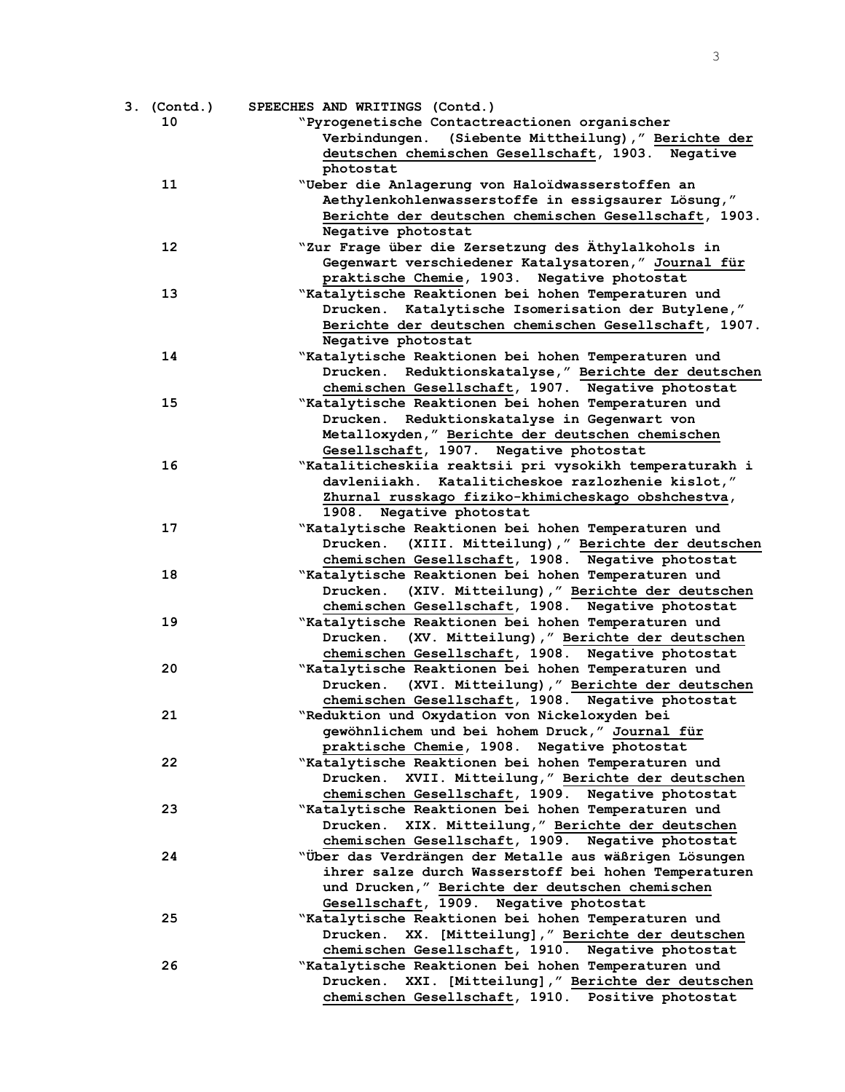3

| 3. (Contd.)     | SPEECHES AND WRITINGS (Contd.)                          |
|-----------------|---------------------------------------------------------|
| 10              | "Pyrogenetische Contactreactionen organischer           |
|                 | Verbindungen. (Siebente Mittheilung)," Berichte der     |
|                 | deutschen chemischen Gesellschaft, 1903. Negative       |
|                 | photostat                                               |
| 11              | "Ueber die Anlagerung von Haloïdwasserstoffen an        |
|                 | Aethylenkohlenwasserstoffe in essigsaurer Lösung,"      |
|                 | Berichte der deutschen chemischen Gesellschaft, 1903.   |
|                 | Negative photostat                                      |
| 12 <sup>2</sup> | "Zur Frage über die Zersetzung des Äthylalkohols in     |
|                 | Gegenwart verschiedener Katalysatoren," Journal für     |
|                 | praktische Chemie, 1903. Negative photostat             |
| 13              | "Katalytische Reaktionen bei hohen Temperaturen und     |
|                 | Drucken. Katalytische Isomerisation der Butylene,"      |
|                 | Berichte der deutschen chemischen Gesellschaft, 1907.   |
|                 | Negative photostat                                      |
| 14              | "Katalytische Reaktionen bei hohen Temperaturen und     |
|                 | Reduktionskatalyse," Berichte der deutschen<br>Drucken. |
|                 | chemischen Gesellschaft, 1907. Negative photostat       |
| 15              | "Katalytische Reaktionen bei hohen Temperaturen und     |
|                 | Drucken. Reduktionskatalyse in Gegenwart von            |
|                 | Metalloxyden," Berichte der deutschen chemischen        |
|                 | Gesellschaft, 1907. Negative photostat                  |
| 16              | "Kataliticheskiia reaktsii pri vysokikh temperaturakh i |
|                 | davleniiakh. Kataliticheskoe razlozhenie kislot,"       |
|                 | Zhurnal russkago fiziko-khimicheskago obshchestva,      |
|                 | 1908. Negative photostat                                |
| 17              | "Katalytische Reaktionen bei hohen Temperaturen und     |
|                 | Drucken. (XIII. Mitteilung), "Berichte der deutschen    |
|                 | chemischen Gesellschaft, 1908. Negative photostat       |
| 18              | "Katalytische Reaktionen bei hohen Temperaturen und     |
|                 | (XIV. Mitteilung), " Berichte der deutschen<br>Drucken. |
|                 | chemischen Gesellschaft, 1908. Negative photostat       |
| 19              | "Katalytische Reaktionen bei hohen Temperaturen und     |
|                 | Drucken. (XV. Mitteilung), "Berichte der deutschen      |
|                 | chemischen Gesellschaft, 1908. Negative photostat       |
| 20              | "Katalytische Reaktionen bei hohen Temperaturen und     |
|                 | Drucken. (XVI. Mitteilung), "Berichte der deutschen     |
|                 | chemischen Gesellschaft, 1908. Negative photostat       |
| 21              | "Reduktion und Oxydation von Nickeloxyden bei           |
|                 | gewöhnlichem und bei hohem Druck," Journal für          |
|                 | praktische Chemie, 1908. Negative photostat             |
| 22              | "Katalytische Reaktionen bei hohen Temperaturen und     |
|                 | XVII. Mitteilung, " Berichte der deutschen<br>Drucken.  |
|                 | chemischen Gesellschaft, 1909. Negative photostat       |
| 23              | "Katalytische Reaktionen bei hohen Temperaturen und     |
|                 | XIX. Mitteilung, " Berichte der deutschen<br>Drucken.   |
|                 | chemischen Gesellschaft, 1909. Negative photostat       |
| 24              | "Über das Verdrängen der Metalle aus wäßrigen Lösungen  |
|                 | ihrer salze durch Wasserstoff bei hohen Temperaturen    |
|                 | und Drucken," Berichte der deutschen chemischen         |
|                 | Gesellschaft, 1909. Negative photostat                  |
| 25              | "Katalytische Reaktionen bei hohen Temperaturen und     |
|                 | Drucken. XX. [Mitteilung], " Berichte der deutschen     |
|                 | chemischen Gesellschaft, 1910. Negative photostat       |
| 26              | "Katalytische Reaktionen bei hohen Temperaturen und     |
|                 | XXI. [Mitteilung], " Berichte der deutschen<br>Drucken. |
|                 | chemischen Gesellschaft, 1910. Positive photostat       |
|                 |                                                         |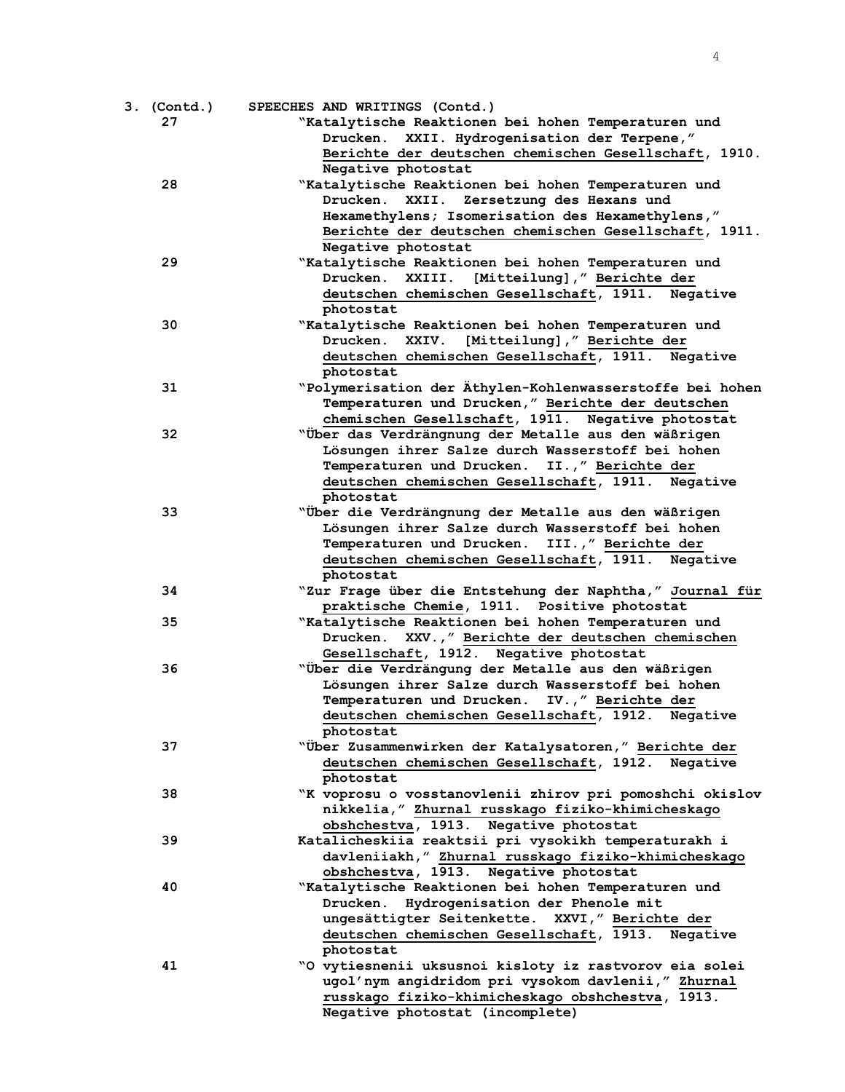| 3. (Contd.) | SPEECHES AND WRITINGS (Contd.)                           |
|-------------|----------------------------------------------------------|
| 27          | "Katalytische Reaktionen bei hohen Temperaturen und      |
|             | XXII. Hydrogenisation der Terpene,"<br>Drucken.          |
|             | Berichte der deutschen chemischen Gesellschaft, 1910.    |
|             | Negative photostat                                       |
| 28          | "Katalytische Reaktionen bei hohen Temperaturen und      |
|             | Zersetzung des Hexans und<br>Drucken.<br>XXII.           |
|             | Hexamethylens; Isomerisation des Hexamethylens,"         |
|             | Berichte der deutschen chemischen Gesellschaft, 1911.    |
|             | Negative photostat                                       |
| 29          | "Katalytische Reaktionen bei hohen Temperaturen und      |
|             | XXIII. [Mitteilung], " Berichte der<br>Drucken.          |
|             | deutschen chemischen Gesellschaft, 1911. Negative        |
|             |                                                          |
| 30          | photostat                                                |
|             | "Katalytische Reaktionen bei hohen Temperaturen und      |
|             | Drucken. XXIV. [Mitteilung]," Berichte der               |
|             | deutschen chemischen Gesellschaft, 1911. Negative        |
|             | photostat                                                |
| 31          | "Polymerisation der Äthylen-Kohlenwasserstoffe bei hohen |
|             | Temperaturen und Drucken," Berichte der deutschen        |
|             | chemischen Gesellschaft, 1911. Negative photostat        |
| 32          | "Über das Verdrängnung der Metalle aus den wäßrigen      |
|             | Lösungen ihrer Salze durch Wasserstoff bei hohen         |
|             | Temperaturen und Drucken. II.," Berichte der             |
|             | deutschen chemischen Gesellschaft, 1911. Negative        |
|             | photostat                                                |
| 33          | "Über die Verdrängnung der Metalle aus den wäßrigen      |
|             | Lösungen ihrer Salze durch Wasserstoff bei hohen         |
|             | Temperaturen und Drucken.<br>III.," Berichte der         |
|             | deutschen chemischen Gesellschaft, 1911. Negative        |
|             | photostat                                                |
| 34          | "Zur Frage über die Entstehung der Naphtha," Journal für |
|             | praktische Chemie, 1911. Positive photostat              |
| 35          | "Katalytische Reaktionen bei hohen Temperaturen und      |
|             | Drucken. XXV., "Berichte der deutschen chemischen        |
|             | Gesellschaft, 1912. Negative photostat                   |
| 36          | "Über die Verdrängung der Metalle aus den wäßrigen       |
|             | Lösungen ihrer Salze durch Wasserstoff bei hohen         |
|             | Temperaturen und Drucken.<br>IV.," Berichte der          |
|             | deutschen chemischen Gesellschaft, 1912. Negative        |
|             | photostat                                                |
| 37          | "Über Zusammenwirken der Katalysatoren," Berichte der    |
|             | deutschen chemischen Gesellschaft, 1912. Negative        |
|             | photostat                                                |
| 38          | "K voprosu o vosstanovlenii zhirov pri pomoshchi okislov |
|             | nikkelia," Zhurnal russkago fiziko-khimicheskago         |
|             | obshchestva, 1913. Negative photostat                    |
| 39          | Katalicheskiia reaktsii pri vysokikh temperaturakh i     |
|             | davleniiakh," Zhurnal russkago fiziko-khimicheskago      |
|             | obshchestva, 1913. Negative photostat                    |
| 40          | "Katalytische Reaktionen bei hohen Temperaturen und      |
|             | Hydrogenisation der Phenole mit<br>Drucken.              |
|             | ungesättigter Seitenkette. XXVI," Berichte der           |
|             | deutschen chemischen Gesellschaft, 1913. Negative        |
|             | photostat                                                |
| 41          | "O vytiesnenii uksusnoi kisloty iz rastvorov eia solei   |
|             | ugol'nym angidridom pri vysokom davlenii," Zhurnal       |
|             | russkago fiziko-khimicheskago obshchestva, 1913.         |
|             | Negative photostat (incomplete)                          |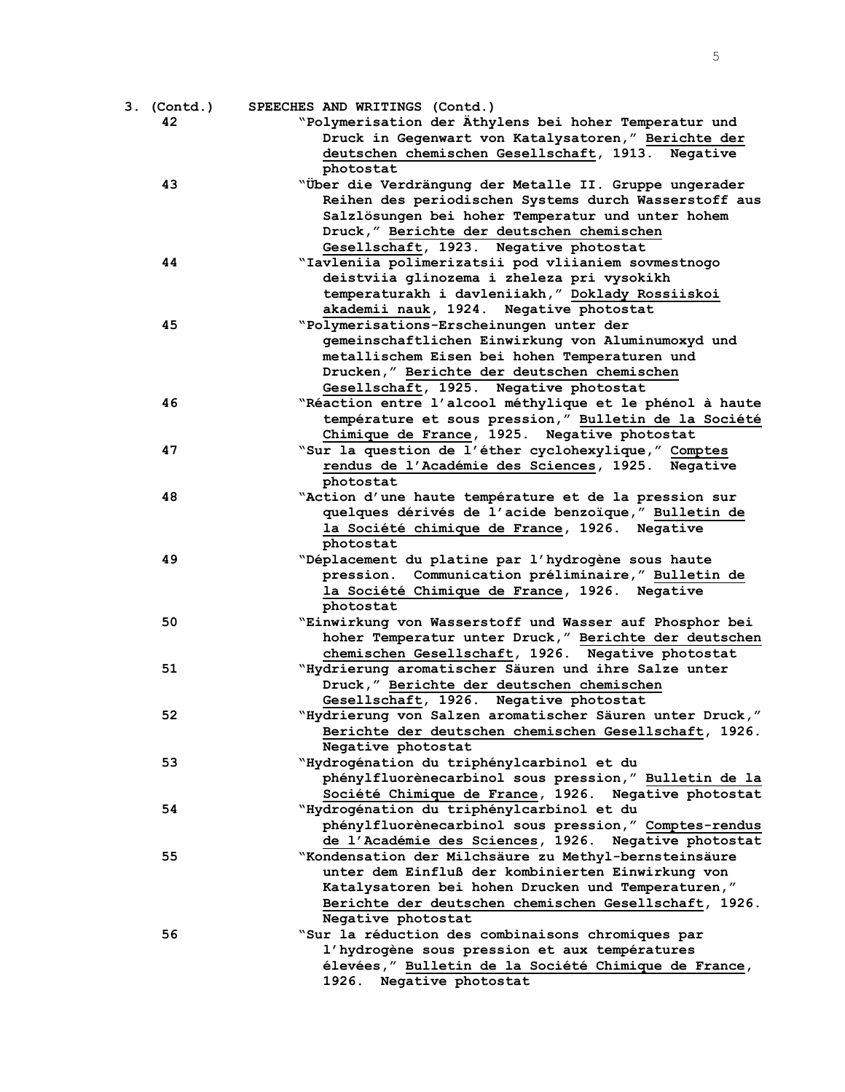| 3. (Contd.) | SPEECHES AND WRITINGS (Contd.)                                  |
|-------------|-----------------------------------------------------------------|
| 42          | "Polymerisation der Äthylens bei hoher Temperatur und           |
|             | Druck in Gegenwart von Katalysatoren," Berichte der             |
|             | deutschen chemischen Gesellschaft, 1913. Negative               |
|             | photostat                                                       |
| 43          | "Über die Verdrängung der Metalle II. Gruppe ungerader          |
|             | Reihen des periodischen Systems durch Wasserstoff aus           |
|             | Salzlösungen bei hoher Temperatur und unter hohem               |
|             | Druck," Berichte der deutschen chemischen                       |
|             | Gesellschaft, 1923. Negative photostat                          |
| 44          | "Iavleniia polimerizatsii pod vliianiem sovmestnogo             |
|             | deistviia glinozema i zheleza pri vysokikh                      |
|             | temperaturakh i davleniiakh," Doklady Rossiiskoi                |
|             | akademii nauk, 1924. Negative photostat                         |
| 45          | "Polymerisations-Erscheinungen unter der                        |
|             | gemeinschaftlichen Einwirkung von Aluminumoxyd und              |
|             | metallischem Eisen bei hohen Temperaturen und                   |
|             | Drucken," Berichte der deutschen chemischen                     |
|             | Gesellschaft, 1925. Negative photostat                          |
| 46          | "Réaction entre l'alcool méthylique et le phénol à haute        |
|             | température et sous pression," Bulletin de la Société           |
|             | Chimique de France, 1925. Negative photostat                    |
| 47          | "Sur la question de l'éther cyclohexylique," Comptes            |
|             | rendus de l'Académie des Sciences, 1925. Negative               |
|             | photostat                                                       |
| 48          | "Action d'une haute température et de la pression sur           |
|             | quelques dérivés de l'acide benzoïque, "Bulletin de             |
|             | la Société chimique de France, 1926. Negative                   |
|             | photostat                                                       |
| 49          | "Déplacement du platine par l'hydrogène sous haute              |
|             | pression. Communication préliminaire, "Bulletin de              |
|             | la Société Chimique de France, 1926. Negative                   |
|             | photostat                                                       |
| 50          | "Einwirkung von Wasserstoff und Wasser auf Phosphor bei         |
|             | hoher Temperatur unter Druck," Berichte der deutschen           |
|             | chemischen Gesellschaft, 1926. Negative photostat               |
| 51          | "Hydrierung aromatischer Säuren und ihre Salze unter            |
|             | Druck," Berichte der deutschen chemischen                       |
|             | Gesellschaft, 1926. Negative photostat                          |
| 52          | "Hydrierung von Salzen aromatischer Säuren unter Druck,"        |
|             | Berichte der deutschen chemischen Gesellschaft, 1926.           |
| 53          | Negative photostat<br>"Hydrogénation du triphénylcarbinol et du |
|             | phénylfluorènecarbinol sous pression," Bulletin de la           |
|             | Société Chimique de France, 1926. Negative photostat            |
| 54          | "Hydrogénation du triphénylcarbinol et du                       |
|             | phénylfluorènecarbinol sous pression," Comptes-rendus           |
|             | de l'Académie des Sciences, 1926. Negative photostat            |
| 55          | "Kondensation der Milchsäure zu Methyl-bernsteinsäure           |
|             | unter dem Einfluß der kombinierten Einwirkung von               |
|             | Katalysatoren bei hohen Drucken und Temperaturen,"              |
|             | Berichte der deutschen chemischen Gesellschaft, 1926.           |
|             | Negative photostat                                              |
| 56          | "Sur la réduction des combinaisons chromiques par               |
|             | l'hydrogène sous pression et aux températures                   |
|             | élevées, " Bulletin de la Société Chimique de France,           |
|             | 1926. Negative photostat                                        |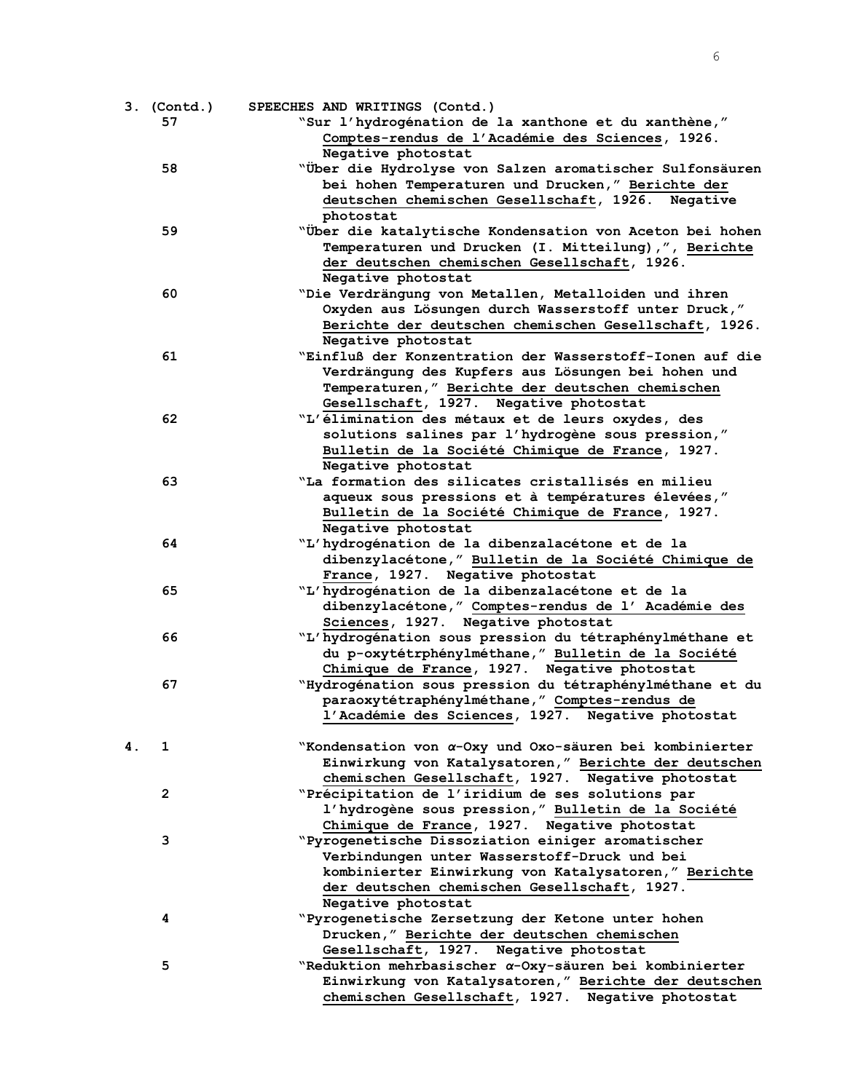6

|    | 3. (Contd.)  | SPEECHES AND WRITINGS (Contd.)                                 |
|----|--------------|----------------------------------------------------------------|
|    | 57           | "Sur l'hydrogénation de la xanthone et du xanthène,"           |
|    |              | Comptes-rendus de l'Académie des Sciences, 1926.               |
|    | 58           | Negative photostat                                             |
|    |              | "Über die Hydrolyse von Salzen aromatischer Sulfonsäuren       |
|    |              | bei hohen Temperaturen und Drucken," Berichte der              |
|    |              | deutschen chemischen Gesellschaft, 1926. Negative              |
|    |              | photostat                                                      |
|    | 59           | "Über die katalytische Kondensation von Aceton bei hohen       |
|    |              | Temperaturen und Drucken (I. Mitteilung),", Berichte           |
|    |              | der deutschen chemischen Gesellschaft, 1926.                   |
|    |              | Negative photostat                                             |
|    | 60           | "Die Verdrängung von Metallen, Metalloiden und ihren           |
|    |              | Oxyden aus Lösungen durch Wasserstoff unter Druck,"            |
|    |              | Berichte der deutschen chemischen Gesellschaft, 1926.          |
|    |              | Negative photostat                                             |
|    | 61           | "Einfluß der Konzentration der Wasserstoff-Ionen auf die       |
|    |              | Verdrängung des Kupfers aus Lösungen bei hohen und             |
|    |              | Temperaturen," Berichte der deutschen chemischen               |
|    |              | Gesellschaft, 1927. Negative photostat                         |
|    | 62           | "L'elimination des métaux et de leurs oxydes, des              |
|    |              | solutions salines par l'hydrogène sous pression,"              |
|    |              | Bulletin de la Société Chimique de France, 1927.               |
|    |              | Negative photostat                                             |
|    | 63           | "La formation des silicates cristallisés en milieu             |
|    |              | aqueux sous pressions et à températures élevées,"              |
|    |              | Bulletin de la Société Chimique de France, 1927.               |
|    |              | Negative photostat                                             |
|    | 64           | "L'hydrogénation de la dibenzalacétone et de la                |
|    |              | dibenzylacétone," Bulletin de la Société Chimique de           |
|    |              | France, 1927. Negative photostat                               |
|    | 65           | "L'hydrogénation de la dibenzalacétone et de la                |
|    |              | dibenzylacétone, " Comptes-rendus de l' Académie des           |
|    |              | Sciences, 1927. Negative photostat                             |
|    | 66           | "L'hydrogénation sous pression du tétraphénylméthane et        |
|    |              | du p-oxytétrphénylméthane, " Bulletin de la Société            |
|    |              | Chimique de France, 1927. Negative photostat                   |
|    |              |                                                                |
|    | 67           | "Hydrogénation sous pression du tétraphénylméthane et du       |
|    |              | paraoxytétraphénylméthane, " Comptes-rendus de                 |
|    |              | l'Académie des Sciences, 1927. Negative photostat              |
|    |              |                                                                |
| 4. | 1            | "Kondensation von α-Oxy und Oxo-säuren bei kombinierter        |
|    |              | Einwirkung von Katalysatoren," Berichte der deutschen          |
|    |              | chemischen Gesellschaft, 1927. Negative photostat              |
|    | $\mathbf{2}$ | "Précipitation de l'iridium de ses solutions par               |
|    |              | l'hydrogène sous pression," Bulletin de la Société             |
|    |              | Chimique de France, 1927. Negative photostat                   |
|    | 3            | "Pyrogenetische Dissoziation einiger aromatischer              |
|    |              | Verbindungen unter Wasserstoff-Druck und bei                   |
|    |              | kombinierter Einwirkung von Katalysatoren," Berichte           |
|    |              | der deutschen chemischen Gesellschaft, 1927.                   |
|    |              | Negative photostat                                             |
|    | 4            | "Pyrogenetische Zersetzung der Ketone unter hohen              |
|    |              | Drucken," Berichte der deutschen chemischen                    |
|    |              | Gesellschaft, 1927. Negative photostat                         |
|    | 5            | "Reduktion mehrbasischer $\alpha$ -Oxy-säuren bei kombinierter |
|    |              | Einwirkung von Katalysatoren," Berichte der deutschen          |
|    |              | chemischen Gesellschaft, 1927. Negative photostat              |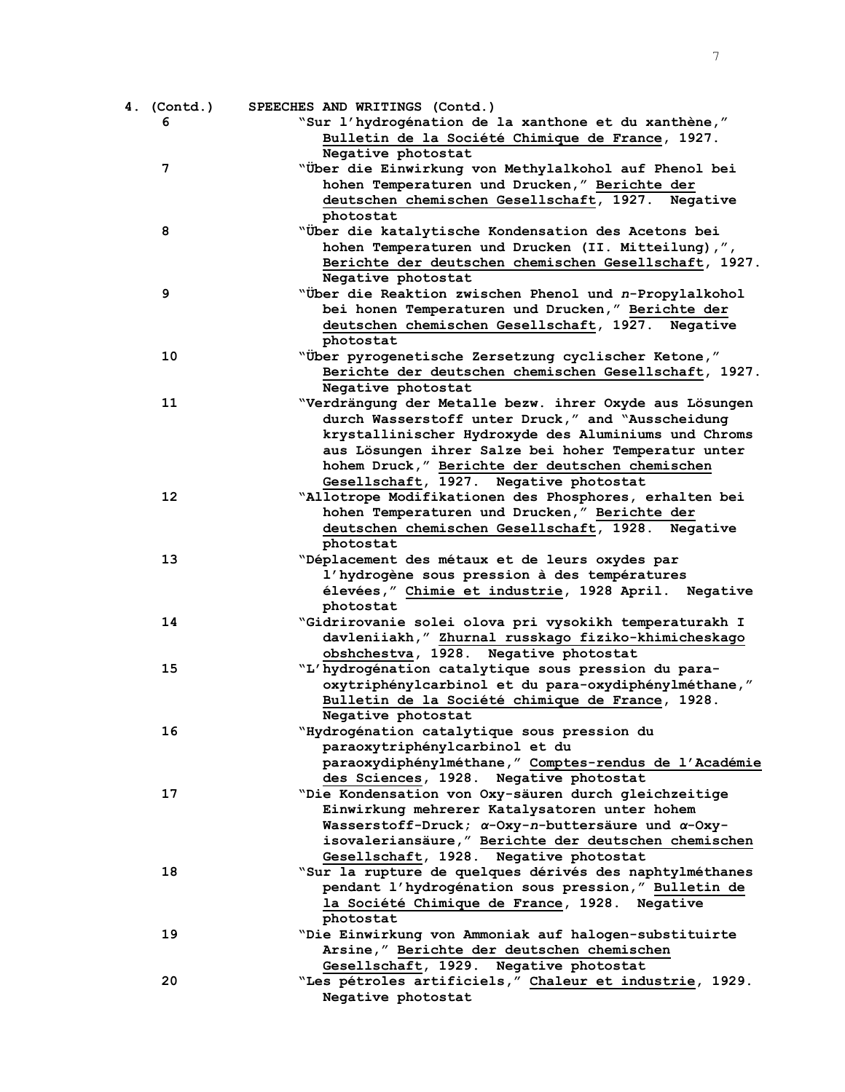| 4. (Contd.) | SPEECHES AND WRITINGS (Contd.)                                    |
|-------------|-------------------------------------------------------------------|
| 6           | "Sur l'hydrogénation de la xanthone et du xanthène,"              |
|             | Bulletin de la Société Chimique de France, 1927.                  |
|             | Negative photostat                                                |
| 7           | "Über die Einwirkung von Methylalkohol auf Phenol bei             |
|             | hohen Temperaturen und Drucken," Berichte der                     |
|             | deutschen chemischen Gesellschaft, 1927. Negative                 |
|             | photostat                                                         |
| 8           | "Über die katalytische Kondensation des Acetons bei               |
|             | hohen Temperaturen und Drucken (II. Mitteilung),",                |
|             | Berichte der deutschen chemischen Gesellschaft, 1927.             |
|             | Negative photostat                                                |
| 9           | "Über die Reaktion zwischen Phenol und n-Propylalkohol            |
|             | bei honen Temperaturen und Drucken," Berichte der                 |
|             | deutschen chemischen Gesellschaft, 1927. Negative                 |
|             | photostat                                                         |
| 10          | "Über pyrogenetische Zersetzung cyclischer Ketone,"               |
|             | Berichte der deutschen chemischen Gesellschaft, 1927.             |
|             | Negative photostat                                                |
| 11          | "Verdrängung der Metalle bezw. ihrer Oxyde aus Lösungen           |
|             | durch Wasserstoff unter Druck," and "Ausscheidung                 |
|             | krystallinischer Hydroxyde des Aluminiums und Chroms              |
|             |                                                                   |
|             | aus Lösungen ihrer Salze bei hoher Temperatur unter               |
|             | hohem Druck," Berichte der deutschen chemischen                   |
| 12          | Gesellschaft, 1927. Negative photostat                            |
|             | "Allotrope Modifikationen des Phosphores, erhalten bei            |
|             | hohen Temperaturen und Drucken," Berichte der                     |
|             | deutschen chemischen Gesellschaft, 1928. Negative                 |
|             | photostat                                                         |
| 13          | "Déplacement des métaux et de leurs oxydes par                    |
|             | l'hydrogène sous pression à des températures                      |
|             | élevées, " Chimie et industrie, 1928 April. Negative              |
|             | photostat                                                         |
| 14          | "Gidrirovanie solei olova pri vysokikh temperaturakh I            |
|             | davleniiakh," Zhurnal russkago fiziko-khimicheskago               |
|             | obshchestva, 1928. Negative photostat                             |
| 15          | "L'hydrogénation catalytique sous pression du para-               |
|             | oxytriphénylcarbinol et du para-oxydiphénylméthane,"              |
|             | Bulletin de la Société chimique de France, 1928.                  |
|             | Negative photostat                                                |
| 16          | "Hydrogénation catalytique sous pression du                       |
|             | paraoxytriphénylcarbinol et du                                    |
|             | paraoxydiphénylméthane, " Comptes-rendus de l'Académie            |
|             | des Sciences, 1928. Negative photostat                            |
| 17          | "Die Kondensation von Oxy-säuren durch gleichzeitige              |
|             | Einwirkung mehrerer Katalysatoren unter hohem                     |
|             | Wasserstoff-Druck; $\alpha$ -Oxy-n-buttersäure und $\alpha$ -Oxy- |
|             | isovaleriansäure, "Berichte der deutschen chemischen              |
|             | Gesellschaft, 1928. Negative photostat                            |
| 18          | "Sur la rupture de quelques dérivés des naphtylméthanes           |
|             | pendant l'hydrogénation sous pression," Bulletin de               |
|             | la Société Chimique de France, 1928. Negative                     |
|             | photostat                                                         |
| 19          | "Die Einwirkung von Ammoniak auf halogen-substituirte             |
|             | Arsine," Berichte der deutschen chemischen                        |
|             | Gesellschaft, 1929. Negative photostat                            |
| 20          | "Les pétroles artificiels," Chaleur et industrie, 1929.           |
|             | Negative photostat                                                |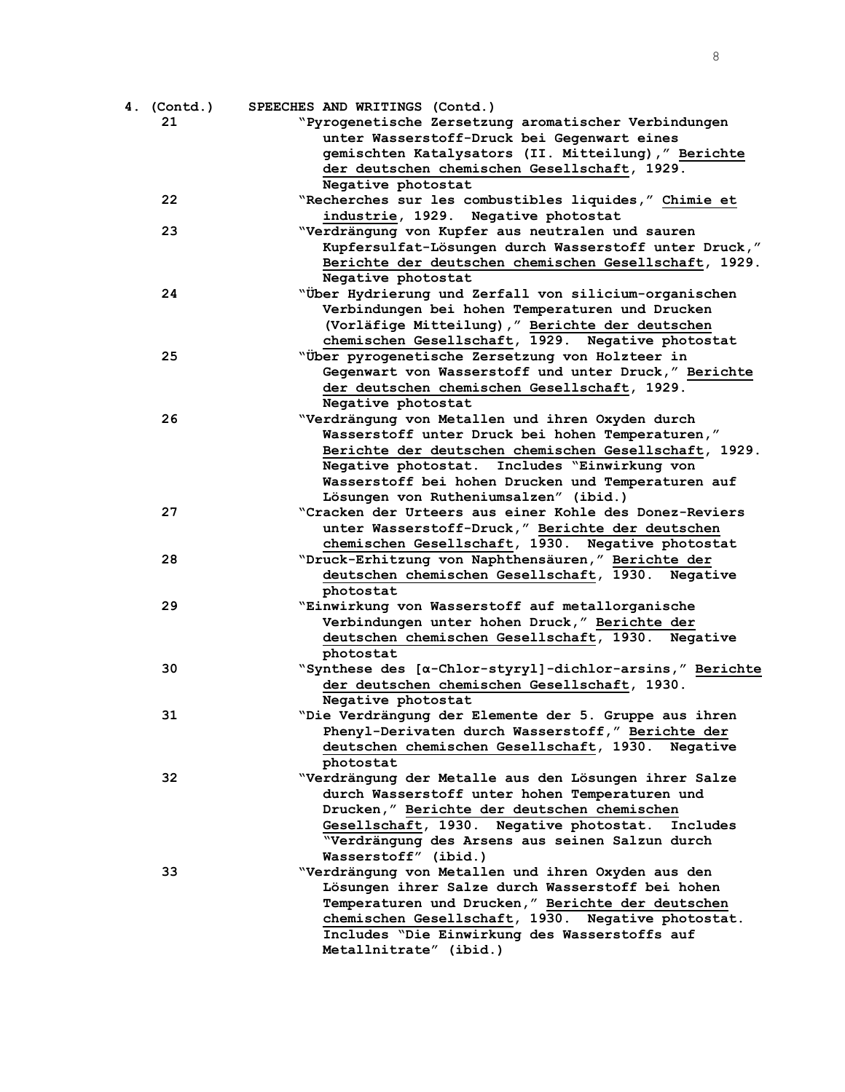| 4. (Contd.) | SPEECHES AND WRITINGS (Contd.)                                                                |
|-------------|-----------------------------------------------------------------------------------------------|
| 21          | "Pyrogenetische Zersetzung aromatischer Verbindungen                                          |
|             | unter Wasserstoff-Druck bei Gegenwart eines                                                   |
|             | gemischten Katalysators (II. Mitteilung)," Berichte                                           |
|             | der deutschen chemischen Gesellschaft, 1929.                                                  |
|             | Negative photostat                                                                            |
| 22          | "Recherches sur les combustibles liquides," Chimie et                                         |
|             | industrie, 1929. Negative photostat                                                           |
| 23          | "Verdrängung von Kupfer aus neutralen und sauren                                              |
|             | Kupfersulfat-Lösungen durch Wasserstoff unter Druck,"                                         |
|             | Berichte der deutschen chemischen Gesellschaft, 1929.                                         |
|             | Negative photostat                                                                            |
| 24          | "Über Hydrierung und Zerfall von silicium-organischen                                         |
|             | Verbindungen bei hohen Temperaturen und Drucken                                               |
|             | (Vorläfige Mitteilung), " Berichte der deutschen                                              |
|             | chemischen Gesellschaft, 1929. Negative photostat                                             |
| 25          | "Über pyrogenetische Zersetzung von Holzteer in                                               |
|             | Gegenwart von Wasserstoff und unter Druck," Berichte                                          |
|             | der deutschen chemischen Gesellschaft, 1929.                                                  |
|             | Negative photostat                                                                            |
| 26          | "Verdrängung von Metallen und ihren Oxyden durch                                              |
|             | Wasserstoff unter Druck bei hohen Temperaturen,"                                              |
|             | Berichte der deutschen chemischen Gesellschaft, 1929.                                         |
|             | Negative photostat. Includes "Einwirkung von                                                  |
|             | Wasserstoff bei hohen Drucken und Temperaturen auf                                            |
|             | Lösungen von Rutheniumsalzen" (ibid.)                                                         |
| 27          | "Cracken der Urteers aus einer Kohle des Donez-Reviers                                        |
|             | unter Wasserstoff-Druck," Berichte der deutschen                                              |
|             | chemischen Gesellschaft, 1930. Negative photostat                                             |
| 28          | "Druck-Erhitzung von Naphthensäuren," Berichte der                                            |
|             | deutschen chemischen Gesellschaft, 1930. Negative                                             |
|             | photostat                                                                                     |
| 29          | "Einwirkung von Wasserstoff auf metallorganische                                              |
|             | Verbindungen unter hohen Druck," Berichte der                                                 |
|             | deutschen chemischen Gesellschaft, 1930. Negative                                             |
|             | photostat                                                                                     |
| 30          | "Synthese des [α-Chlor-styryl]-dichlor-arsins," Berichte                                      |
|             |                                                                                               |
|             | der deutschen chemischen Gesellschaft, 1930.                                                  |
| 31          | Negative photostat<br>"Die Verdrängung der Elemente der 5. Gruppe aus ihren                   |
|             | Phenyl-Derivaten durch Wasserstoff," Berichte der                                             |
|             | deutschen chemischen Gesellschaft, 1930.                                                      |
|             | Negative<br>photostat                                                                         |
| 32          | "Verdrängung der Metalle aus den Lösungen ihrer Salze                                         |
|             |                                                                                               |
|             | durch Wasserstoff unter hohen Temperaturen und<br>Drucken," Berichte der deutschen chemischen |
|             | Gesellschaft, 1930. Negative photostat. Includes                                              |
|             | "Verdrängung des Arsens aus seinen Salzun durch                                               |
|             | Wasserstoff" (ibid.)                                                                          |
|             |                                                                                               |
| 33          | "Verdrängung von Metallen und ihren Oxyden aus den                                            |
|             | Lösungen ihrer Salze durch Wasserstoff bei hohen                                              |
|             | Temperaturen und Drucken," Berichte der deutschen                                             |
|             | chemischen Gesellschaft, 1930. Negative photostat.                                            |
|             | Includes "Die Einwirkung des Wasserstoffs auf                                                 |
|             | Metallnitrate" (ibid.)                                                                        |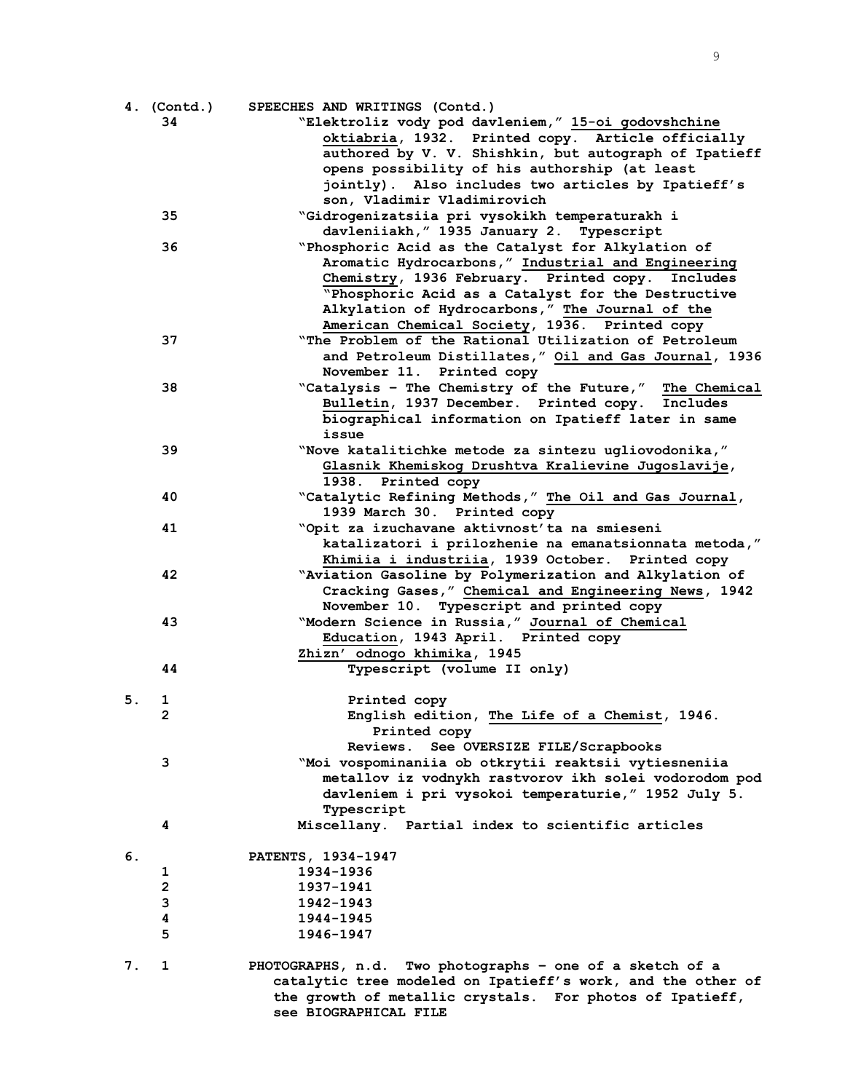|    | 4. (Contd.)  | SPEECHES AND WRITINGS (Contd.)                                                    |
|----|--------------|-----------------------------------------------------------------------------------|
|    | 34           | "Elektroliz vody pod davleniem," 15-oi godovshchine                               |
|    |              | oktiabria, 1932. Printed copy. Article officially                                 |
|    |              | authored by V. V. Shishkin, but autograph of Ipatieff                             |
|    |              | opens possibility of his authorship (at least                                     |
|    |              | jointly). Also includes two articles by Ipatieff's                                |
|    |              | son, Vladimir Vladimirovich                                                       |
|    | 35           | "Gidrogenizatsiia pri vysokikh temperaturakh i                                    |
|    |              | davleniiakh, " 1935 January 2. Typescript                                         |
|    | 36           | "Phosphoric Acid as the Catalyst for Alkylation of                                |
|    |              | Aromatic Hydrocarbons," Industrial and Engineering                                |
|    |              | Chemistry, 1936 February. Printed copy.<br>Includes                               |
|    |              | "Phosphoric Acid as a Catalyst for the Destructive                                |
|    |              | Alkylation of Hydrocarbons," The Journal of the                                   |
|    |              | American Chemical Society, 1936. Printed copy                                     |
|    | 37           | "The Problem of the Rational Utilization of Petroleum                             |
|    |              | and Petroleum Distillates," Oil and Gas Journal, 1936                             |
|    |              | November 11. Printed copy                                                         |
|    | 38           | "Catalysis - The Chemistry of the Future," The Chemical                           |
|    |              | Bulletin, 1937 December. Printed copy. Includes                                   |
|    |              | biographical information on Ipatieff later in same                                |
|    |              | issue                                                                             |
|    | 39           | "Nove katalitichke metode za sintezu ugliovodonika,"                              |
|    |              | Glasnik Khemiskog Drushtva Kralievine Jugoslavije,                                |
|    |              | 1938. Printed copy                                                                |
|    | 40           | "Catalytic Refining Methods," The Oil and Gas Journal,                            |
|    |              | 1939 March 30. Printed copy                                                       |
|    | 41           | "Opit za izuchavane aktivnost' ta na smieseni                                     |
|    |              | katalizatori i prilozhenie na emanatsionnata metoda,"                             |
|    |              | Khimiia i industriia, 1939 October. Printed copy                                  |
|    | 42           | "Aviation Gasoline by Polymerization and Alkylation of                            |
|    |              | Cracking Gases," Chemical and Engineering News, 1942                              |
|    |              | November 10. Typescript and printed copy                                          |
|    | 43           | "Modern Science in Russia," Journal of Chemical                                   |
|    |              | Education, 1943 April. Printed copy                                               |
|    |              | Zhizn' odnogo khimika, 1945                                                       |
|    | 44           | Typescript (volume II only)                                                       |
|    |              |                                                                                   |
| 5. | 1            | Printed copy                                                                      |
|    | 2            | English edition, The Life of a Chemist, 1946.                                     |
|    |              | Printed copy                                                                      |
|    |              | Reviews. See OVERSIZE FILE/Scrapbooks                                             |
|    | 3            | "Moi vospominaniia ob otkrytii reaktsii vytiesneniia                              |
|    |              | metallov iz vodnykh rastvorov ikh solei vodorodom pod                             |
|    |              | davleniem i pri vysokoi temperaturie, " 1952 July 5.                              |
|    |              | Typescript                                                                        |
|    | 4            | Miscellany. Partial index to scientific articles                                  |
|    |              |                                                                                   |
| 6. |              | PATENTS, 1934-1947                                                                |
|    | 1            | 1934-1936                                                                         |
|    | $\mathbf{2}$ | 1937-1941                                                                         |
|    | 3            | 1942-1943                                                                         |
|    | 4            | 1944-1945                                                                         |
|    | 5            | 1946-1947                                                                         |
|    |              |                                                                                   |
| 7. | 1            | PHOTOGRAPHS, n.d. Two photographs - one of a sketch of a                          |
|    |              | catalytic tree modeled on Ipatieff's work, and the other of                       |
|    |              | the growth of metallic crystals. For photos of Ipatieff,<br>see BIOGRAPHICAL FILE |
|    |              |                                                                                   |